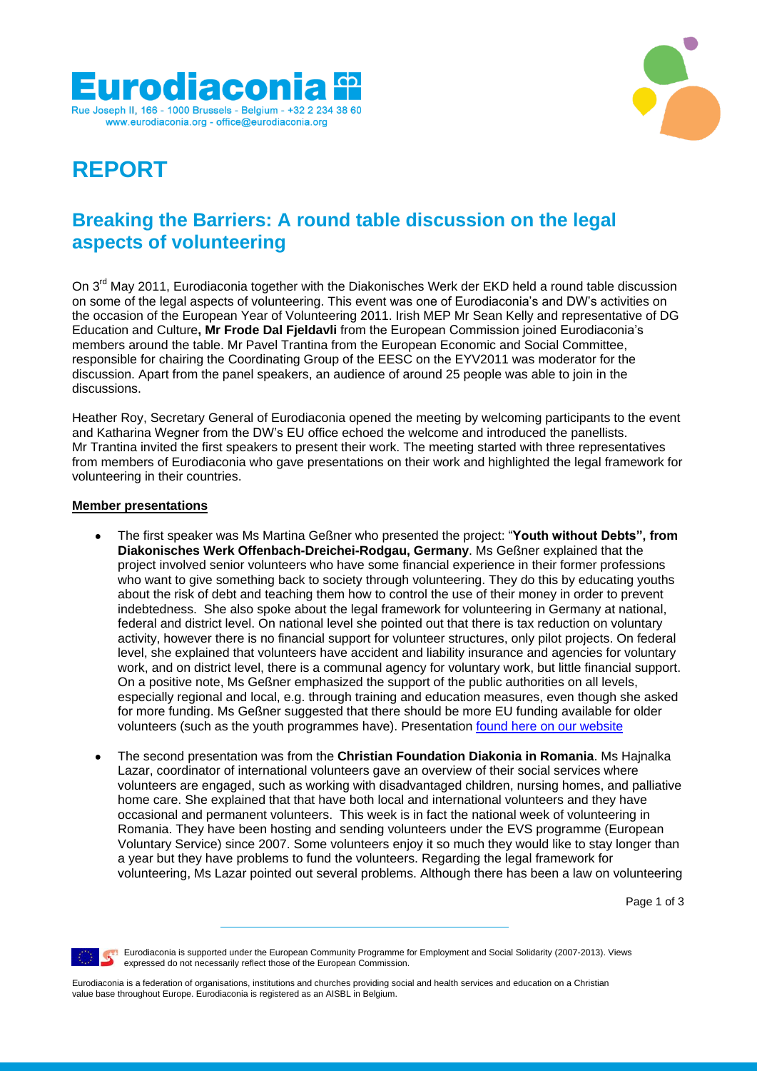



# **REPORT**

## **Breaking the Barriers: A round table discussion on the legal aspects of volunteering**

On 3<sup>rd</sup> May 2011, Eurodiaconia together with the Diakonisches Werk der EKD held a round table discussion on some of the legal aspects of volunteering. This event was one of Eurodiaconia's and DW's activities on the occasion of the European Year of Volunteering 2011. Irish MEP Mr Sean Kelly and representative of DG Education and Culture**, Mr Frode Dal Fjeldavli** from the European Commission joined Eurodiaconia's members around the table. Mr Pavel Trantina from the European Economic and Social Committee, responsible for chairing the Coordinating Group of the EESC on the EYV2011 was moderator for the discussion. Apart from the panel speakers, an audience of around 25 people was able to join in the discussions.

Heather Roy, Secretary General of Eurodiaconia opened the meeting by welcoming participants to the event and Katharina Wegner from the DW's EU office echoed the welcome and introduced the panellists. Mr Trantina invited the first speakers to present their work. The meeting started with three representatives from members of Eurodiaconia who gave presentations on their work and highlighted the legal framework for volunteering in their countries.

#### **Member presentations**

- The first speaker was Ms Martina Geßner who presented the project: "**Youth without Debts", from**  $\bullet$ **Diakonisches Werk Offenbach-Dreichei-Rodgau, Germany**. Ms Geßner explained that the project involved senior volunteers who have some financial experience in their former professions who want to give something back to society through volunteering. They do this by educating youths about the risk of debt and teaching them how to control the use of their money in order to prevent indebtedness. She also spoke about the legal framework for volunteering in Germany at national, federal and district level. On national level she pointed out that there is tax reduction on voluntary activity, however there is no financial support for volunteer structures, only pilot projects. On federal level, she explained that volunteers have accident and liability insurance and agencies for voluntary work, and on district level, there is a communal agency for voluntary work, but little financial support. On a positive note, Ms Geßner emphasized the support of the public authorities on all levels, especially regional and local, e.g. through training and education measures, even though she asked for more funding. Ms Geßner suggested that there should be more EU funding available for older volunteers (such as the youth programmes have). Presentation [found here on our website](http://www.eurodiaconia.org/diaconia-news/1508-report-available-on-round-table-on-legal-aspects-of-volunteering-)
- The second presentation was from the **Christian Foundation Diakonia in Romania**. Ms Hajnalka Lazar, coordinator of international volunteers gave an overview of their social services where volunteers are engaged, such as working with disadvantaged children, nursing homes, and palliative home care. She explained that that have both local and international volunteers and they have occasional and permanent volunteers. This week is in fact the national week of volunteering in Romania. They have been hosting and sending volunteers under the EVS programme (European Voluntary Service) since 2007. Some volunteers enjoy it so much they would like to stay longer than a year but they have problems to fund the volunteers. Regarding the legal framework for volunteering, Ms Lazar pointed out several problems. Although there has been a law on volunteering

Page 1 of 3

**Eurodiaconia is supported under the European Community Programme for Employment and Social Solidarity (2007-2013). Views** expressed do not necessarily reflect those of the European Commission.

Eurodiaconia is a federation of organisations, institutions and churches providing social and health services and education on a Christian value base throughout Europe. Eurodiaconia is registered as an AISBL in Belgium.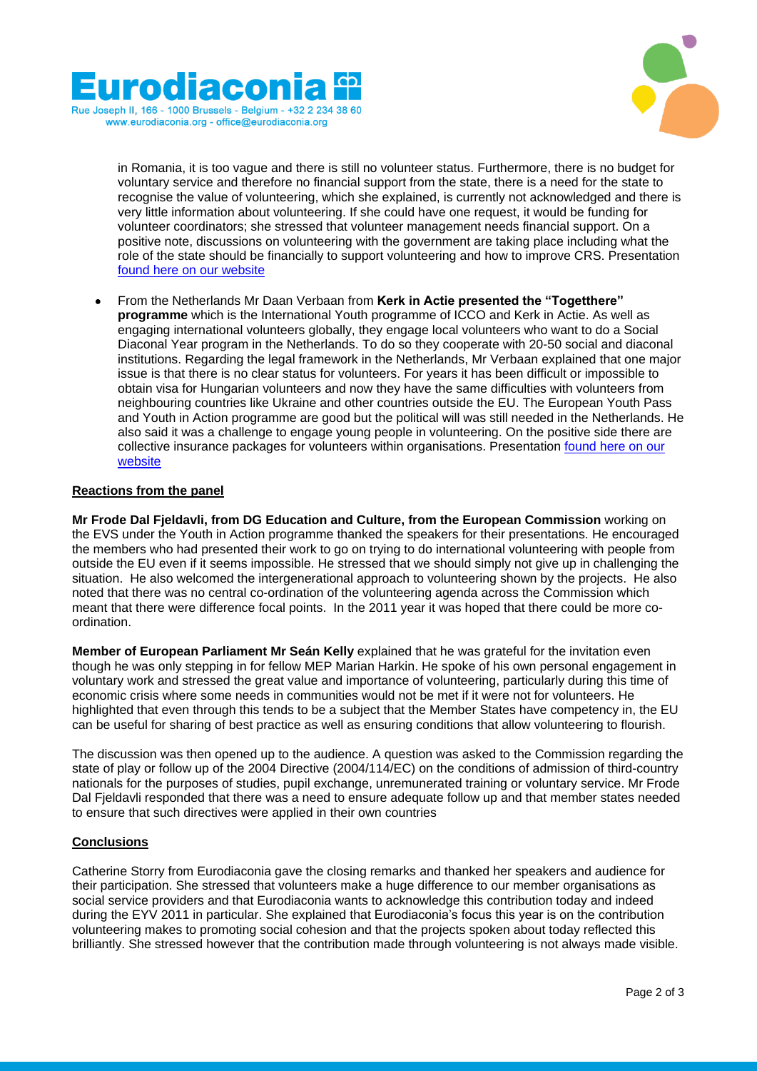



in Romania, it is too vague and there is still no volunteer status. Furthermore, there is no budget for voluntary service and therefore no financial support from the state, there is a need for the state to recognise the value of volunteering, which she explained, is currently not acknowledged and there is very little information about volunteering. If she could have one request, it would be funding for volunteer coordinators; she stressed that volunteer management needs financial support. On a positive note, discussions on volunteering with the government are taking place including what the role of the state should be financially to support volunteering and how to improve CRS. Presentation [found here on our website](http://www.eurodiaconia.org/diaconia-news/1508-report-available-on-round-table-on-legal-aspects-of-volunteering-)

From the Netherlands Mr Daan Verbaan from **Kerk in Actie presented the "Togetthere" programme** which is the International Youth programme of ICCO and Kerk in Actie. As well as engaging international volunteers globally, they engage local volunteers who want to do a Social Diaconal Year program in the Netherlands. To do so they cooperate with 20-50 social and diaconal institutions. Regarding the legal framework in the Netherlands, Mr Verbaan explained that one major issue is that there is no clear status for volunteers. For years it has been difficult or impossible to obtain visa for Hungarian volunteers and now they have the same difficulties with volunteers from neighbouring countries like Ukraine and other countries outside the EU. The European Youth Pass and Youth in Action programme are good but the political will was still needed in the Netherlands. He also said it was a challenge to engage young people in volunteering. On the positive side there are collective insurance packages for volunteers within organisations. Presentation [found here on our](http://www.eurodiaconia.org/diaconia-news/1508-report-available-on-round-table-on-legal-aspects-of-volunteering-)  [website](http://www.eurodiaconia.org/diaconia-news/1508-report-available-on-round-table-on-legal-aspects-of-volunteering-)

#### **Reactions from the panel**

**Mr Frode Dal Fjeldavli, from DG Education and Culture, from the European Commission** working on the EVS under the Youth in Action programme thanked the speakers for their presentations. He encouraged the members who had presented their work to go on trying to do international volunteering with people from outside the EU even if it seems impossible. He stressed that we should simply not give up in challenging the situation. He also welcomed the intergenerational approach to volunteering shown by the projects. He also noted that there was no central co-ordination of the volunteering agenda across the Commission which meant that there were difference focal points. In the 2011 year it was hoped that there could be more coordination.

**Member of European Parliament Mr Seán Kelly** explained that he was grateful for the invitation even though he was only stepping in for fellow MEP Marian Harkin. He spoke of his own personal engagement in voluntary work and stressed the great value and importance of volunteering, particularly during this time of economic crisis where some needs in communities would not be met if it were not for volunteers. He highlighted that even through this tends to be a subject that the Member States have competency in, the EU can be useful for sharing of best practice as well as ensuring conditions that allow volunteering to flourish.

The discussion was then opened up to the audience. A question was asked to the Commission regarding the state of play or follow up of the 2004 Directive (2004/114/EC) on the conditions of admission of third-country nationals for the purposes of studies, pupil exchange, unremunerated training or voluntary service. Mr Frode Dal Fjeldavli responded that there was a need to ensure adequate follow up and that member states needed to ensure that such directives were applied in their own countries

### **Conclusions**

Catherine Storry from Eurodiaconia gave the closing remarks and thanked her speakers and audience for their participation. She stressed that volunteers make a huge difference to our member organisations as social service providers and that Eurodiaconia wants to acknowledge this contribution today and indeed during the EYV 2011 in particular. She explained that Eurodiaconia's focus this year is on the contribution volunteering makes to promoting social cohesion and that the projects spoken about today reflected this brilliantly. She stressed however that the contribution made through volunteering is not always made visible.